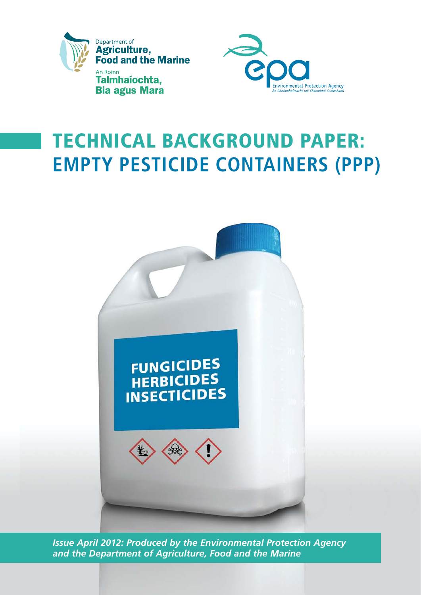



# Technical background Paper: **EMPTY PESTICIDE CONTAINERS (PPP)**



*Issue April 2012: Produced by the Environmental Protection Agency and the Department of Agriculture, Food and the Marine*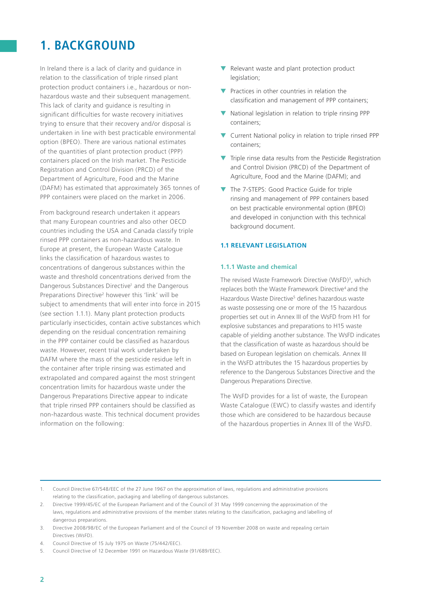### **1. Background**

In Ireland there is a lack of clarity and guidance in relation to the classification of triple rinsed plant protection product containers i.e., hazardous or nonhazardous waste and their subsequent management. This lack of clarity and guidance is resulting in significant difficulties for waste recovery initiatives trying to ensure that their recovery and/or disposal is undertaken in line with best practicable environmental option (BPEO). There are various national estimates of the quantities of plant protection product (PPP) containers placed on the Irish market. The Pesticide Registration and Control Division (PRCD) of the Department of Agriculture, Food and the Marine (DAFM) has estimated that approximately 365 tonnes of PPP containers were placed on the market in 2006.

From background research undertaken it appears that many European countries and also other OECD countries including the USA and Canada classify triple rinsed PPP containers as non-hazardous waste. In Europe at present, the European Waste Catalogue links the classification of hazardous wastes to concentrations of dangerous substances within the waste and threshold concentrations derived from the Dangerous Substances Directive<sup>1</sup> and the Dangerous Preparations Directive<sup>2</sup> however this 'link' will be subject to amendments that will enter into force in 2015 (see section 1.1.1). Many plant protection products particularly insecticides, contain active substances which depending on the residual concentration remaining in the PPP container could be classified as hazardous waste. However, recent trial work undertaken by DAFM where the mass of the pesticide residue left in the container after triple rinsing was estimated and extrapolated and compared against the most stringent concentration limits for hazardous waste under the Dangerous Preparations Directive appear to indicate that triple rinsed PPP containers should be classified as non-hazardous waste. This technical document provides information on the following:

- ▼ Relevant waste and plant protection product legislation;
- ▼ Practices in other countries in relation the classification and management of PPP containers;
- ▼ National legislation in relation to triple rinsing PPP containers;
- ▼ Current National policy in relation to triple rinsed PPP containers;
- ▼ Triple rinse data results from the Pesticide Registration and Control Division (PRCD) of the Department of Agriculture, Food and the Marine (DAFM); and
- ▼ The 7-STEPS: Good Practice Guide for triple rinsing and management of PPP containers based on best practicable environmental option (BPEO) and developed in conjunction with this technical background document.

#### **1.1 Relevant Legislation**

#### **1.1.1 Waste and chemical**

The revised Waste Framework Directive (WsFD)<sup>3</sup>, which replaces both the Waste Framework Directive<sup>4</sup> and the Hazardous Waste Directive<sup>5</sup> defines hazardous waste as waste possessing one or more of the 15 hazardous properties set out in Annex III of the WsFD from H1 for explosive substances and preparations to H15 waste capable of yielding another substance. The WsFD indicates that the classification of waste as hazardous should be based on European legislation on chemicals. Annex III in the WsFD attributes the 15 hazardous properties by reference to the Dangerous Substances Directive and the Dangerous Preparations Directive.

The WsFD provides for a list of waste, the European Waste Catalogue (EWC) to classify wastes and identify those which are considered to be hazardous because of the hazardous properties in Annex III of the WsFD.

2. Directive 1999/45/EC of the European Parliament and of the Council of 31 May 1999 concerning the approximation of the laws, regulations and administrative provisions of the member states relating to the classification, packaging and labelling of dangerous preparations.

<sup>1.</sup> Council Directive 67/548/EEC of the 27 June 1967 on the approximation of laws, regulations and administrative provisions relating to the classification, packaging and labelling of dangerous substances.

<sup>3.</sup> Directive 2008/98/EC of the European Parliament and of the Council of 19 November 2008 on waste and repealing certain Directives (WsFD).

<sup>4.</sup> Council Directive of 15 July 1975 on Waste (75/442/EEC).

<sup>5.</sup> Council Directive of 12 December 1991 on Hazardous Waste (91/689/EEC).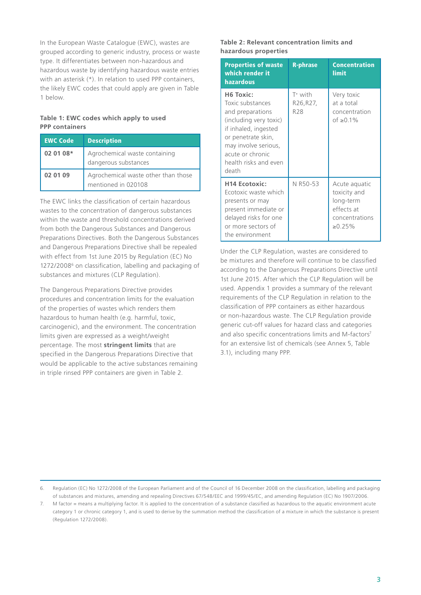In the European Waste Catalogue (EWC), wastes are grouped according to generic industry, process or waste type. It differentiates between non-hazardous and hazardous waste by identifying hazardous waste entries with an asterisk (\*). In relation to used PPP containers, the likely EWC codes that could apply are given in Table 1 below.

#### **Table 1: EWC codes which apply to used PPP containers**

| <b>EWC Code</b> | <b>Description</b>                                         |
|-----------------|------------------------------------------------------------|
| 02 01 08*       | Agrochemical waste containing<br>dangerous substances      |
| 02 01 09        | Agrochemical waste other than those<br>mentioned in 020108 |

The EWC links the classification of certain hazardous wastes to the concentration of dangerous substances within the waste and threshold concentrations derived from both the Dangerous Substances and Dangerous Preparations Directives. Both the Dangerous Substances and Dangerous Preparations Directive shall be repealed with effect from 1st June 2015 by Regulation (EC) No 1272/2008<sup>6</sup> on classification, labelling and packaging of substances and mixtures (CLP Regulation).

The Dangerous Preparations Directive provides procedures and concentration limits for the evaluation of the properties of wastes which renders them hazardous to human health (e.g. harmful, toxic, carcinogenic), and the environment. The concentration limits given are expressed as a weight/weight percentage. The most **stringent limits** that are specified in the Dangerous Preparations Directive that would be applicable to the active substances remaining in triple rinsed PPP containers are given in Table 2.

#### **Table 2: Relevant concentration limits and hazardous properties**

| <b>Properties of waste</b><br>which render it<br>hazardous                                                                                                                                                          | <b>R-phrase</b>                            | <b>Concentration</b><br>limit                                                              |
|---------------------------------------------------------------------------------------------------------------------------------------------------------------------------------------------------------------------|--------------------------------------------|--------------------------------------------------------------------------------------------|
| H <sub>6</sub> Toxic:<br>Toxic substances<br>and preparations<br>(including very toxic)<br>if inhaled, ingested<br>or penetrate skin,<br>may involve serious,<br>acute or chronic<br>health risks and even<br>death | $T^+$ with<br>R26, R27,<br>R <sub>28</sub> | Very toxic<br>at a total<br>concentration<br>of $\ge 0.1\%$                                |
| <b>H14 Ecotoxic:</b><br>Ecotoxic waste which<br>presents or may<br>present immediate or<br>delayed risks for one<br>or more sectors of<br>the environment                                                           | N R50-53                                   | Acute aquatic<br>toxicity and<br>long-term<br>effects at<br>concentrations<br>$\ge 0.25\%$ |

Under the CLP Regulation, wastes are considered to be mixtures and therefore will continue to be classified according to the Dangerous Preparations Directive until 1st June 2015. After which the CLP Regulation will be used. Appendix 1 provides a summary of the relevant requirements of the CLP Regulation in relation to the classification of PPP containers as either hazardous or non-hazardous waste. The CLP Regulation provide generic cut-off values for hazard class and categories and also specific concentrations limits and M-factors<sup>7</sup> for an extensive list of chemicals (see Annex 5, Table 3.1), including many PPP.

<sup>6.</sup> Regulation (EC) No 1272/2008 of the European Parliament and of the Council of 16 December 2008 on the classification, labelling and packaging of substances and mixtures, amending and repealing Directives 67/548/EEC and 1999/45/EC, and amending Regulation (EC) No 1907/2006.

<sup>7.</sup> M factor = means a multiplying factor. It is applied to the concentration of a substance classified as hazardous to the aquatic environment acute category 1 or chronic category 1, and is used to derive by the summation method the classification of a mixture in which the substance is present (Regulation 1272/2008).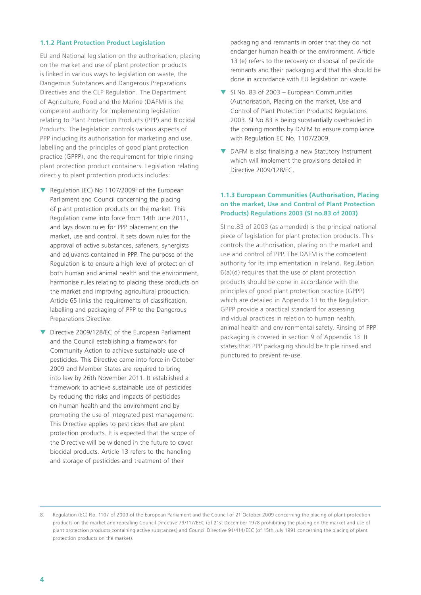#### **1.1.2 Plant Protection Product Legislation**

EU and National legislation on the authorisation, placing on the market and use of plant protection products is linked in various ways to legislation on waste, the Dangerous Substances and Dangerous Preparations Directives and the CLP Regulation. The Department of Agriculture, Food and the Marine (DAFM) is the competent authority for implementing legislation relating to Plant Protection Products (PPP) and Biocidal Products. The legislation controls various aspects of PPP including its authorisation for marketing and use, labelling and the principles of good plant protection practice (GPPP), and the requirement for triple rinsing plant protection product containers. Legislation relating directly to plant protection products includes:

- Regulation (EC) No  $1107/2009^8$  of the European Parliament and Council concerning the placing of plant protection products on the market. This Regulation came into force from 14th June 2011, and lays down rules for PPP placement on the market, use and control. It sets down rules for the approval of active substances, safeners, synergists and adjuvants contained in PPP. The purpose of the Regulation is to ensure a high level of protection of both human and animal health and the environment, harmonise rules relating to placing these products on the market and improving agricultural production. Article 65 links the requirements of classification, labelling and packaging of PPP to the Dangerous Preparations Directive.
- Directive 2009/128/EC of the European Parliament and the Council establishing a framework for Community Action to achieve sustainable use of pesticides. This Directive came into force in October 2009 and Member States are required to bring into law by 26th November 2011. It established a framework to achieve sustainable use of pesticides by reducing the risks and impacts of pesticides on human health and the environment and by promoting the use of integrated pest management. This Directive applies to pesticides that are plant protection products. It is expected that the scope of the Directive will be widened in the future to cover biocidal products. Article 13 refers to the handling and storage of pesticides and treatment of their

packaging and remnants in order that they do not endanger human health or the environment. Article 13 (e) refers to the recovery or disposal of pesticide remnants and their packaging and that this should be done in accordance with EU legislation on waste.

- ▼ SI No. 83 of 2003 European Communities (Authorisation, Placing on the market, Use and Control of Plant Protection Products) Regulations 2003. SI No 83 is being substantially overhauled in the coming months by DAFM to ensure compliance with Regulation EC No. 1107/2009.
- ▼ DAFM is also finalising a new Statutory Instrument which will implement the provisions detailed in Directive 2009/128/EC.

#### **1.1.3 European Communities (Authorisation, Placing on the market, Use and Control of Plant Protection Products) Regulations 2003 (SI no.83 of 2003)**

SI no.83 of 2003 (as amended) is the principal national piece of legislation for plant protection products. This controls the authorisation, placing on the market and use and control of PPP. The DAFM is the competent authority for its implementation in Ireland. Regulation 6(a)(d) requires that the use of plant protection products should be done in accordance with the principles of good plant protection practice (GPPP) which are detailed in Appendix 13 to the Regulation. GPPP provide a practical standard for assessing individual practices in relation to human health, animal health and environmental safety. Rinsing of PPP packaging is covered in section 9 of Appendix 13. It states that PPP packaging should be triple rinsed and punctured to prevent re-use.

<sup>8.</sup> Regulation (EC) No. 1107 of 2009 of the European Parliament and the Council of 21 October 2009 concerning the placing of plant protection products on the market and repealing Council Directive 79/117/EEC (of 21st December 1978 prohibiting the placing on the market and use of plant protection products containing active substances) and Council Directive 91/414/EEC (of 15th July 1991 concerning the placing of plant protection products on the market).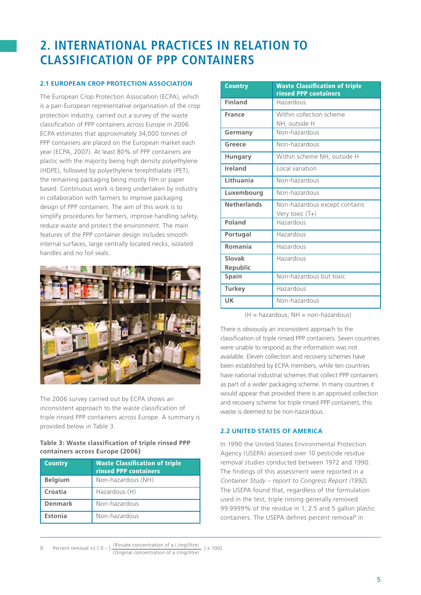# **2. International practices in relation to classification of PPP containers**

#### **2.1 European Crop Protection Association**

The European Crop Protection Association (ECPA), which is a pan-European representative organisation of the crop protection industry, carried out a survey of the waste classification of PPP containers across Europe in 2006. ECPA estimates that approximately 34,000 tonnes of PPP containers are placed on the European market each year (ECPA, 2007). At least 80% of PPP containers are plastic with the majority being high density polyethylene (HDPE), followed by polyethylene terephthalate (PET), the remaining packaging being mostly film or paper based. Continuous work is being undertaken by industry in collaboration with farmers to improve packaging design of PPP containers. The aim of this work is to simplify procedures for farmers, improve handling safety, reduce waste and protect the environment. The main features of the PPP container design includes smooth internal surfaces, large centrally located necks, isolated handles and no foil seals.



The 2006 survey carried out by ECPA shows an inconsistent approach to the waste classification of triple rinsed PPP containers across Europe. A summary is provided below in Table 3.

#### **Table 3: Waste classification of triple rinsed PPP containers across Europe (2006)**

| <b>Country</b> | <b>Waste Classification of triple</b><br><b>rinsed PPP containers</b> |
|----------------|-----------------------------------------------------------------------|
| <b>Belgium</b> | Non-hazardous (NH)                                                    |
| Croatia        | Hazardous (H)                                                         |
| <b>Denmark</b> | Non-hazardous                                                         |
| Estonia        | Non-hazardous                                                         |

| <b>Country</b>     | <b>Waste Classification of triple</b><br><b>rinsed PPP containers</b> |  |  |
|--------------------|-----------------------------------------------------------------------|--|--|
| <b>Finland</b>     | Hazardous                                                             |  |  |
| <b>France</b>      | Within collection scheme                                              |  |  |
|                    | NH, outside H                                                         |  |  |
| Germany            | Non-hazardous                                                         |  |  |
| Greece             | Non-hazardous                                                         |  |  |
| Hungary            | Within scheme NH, outside H                                           |  |  |
| Ireland            | Local variation                                                       |  |  |
| Lithuania          | Non-hazardous                                                         |  |  |
| Luxembourg         | Non-hazardous                                                         |  |  |
| <b>Netherlands</b> | Non-hazardous except contains                                         |  |  |
|                    | Very toxic (T+)                                                       |  |  |
| Poland             | Hazardous                                                             |  |  |
| Portugal           | Hazardous                                                             |  |  |
| Romania            | Hazardous                                                             |  |  |
| Slovak             | Hazardous                                                             |  |  |
| Republic           |                                                                       |  |  |
| Spain              | Non-hazardous but toxic                                               |  |  |
| <b>Turkey</b>      | Hazardous                                                             |  |  |
| UK                 | Non-hazardous                                                         |  |  |

 $(H =$  hazardous;  $NH =$  non-hazardous)

There is obviously an inconsistent approach to the classification of triple rinsed PPP containers. Seven countries were unable to respond as the information was not available. Eleven collection and recovery schemes have been established by ECPA members, while ten countries have national industrial schemes that collect PPP containers as part of a wider packaging scheme. In many countries it would appear that provided there is an approved collection and recovery scheme for triple rinsed PPP containers, this waste is deemed to be non-hazardous.

#### **2.2 United States of America**

In 1990 the United States Environmental Protection Agency (USEPA) assessed over 10 pesticide residue removal studies conducted between 1972 and 1990. The findings of this assessment were reported in a *Container Study – report to Congress Report (1992)*. The USEPA found that, regardless of the formulation used in the test, triple rinsing generally removed 99.9999% of the residue in 1, 2.5 and 5 gallon plastic containers. The USEPA defines percent removal<sup>9</sup> in

<sup>9.</sup> Percent removal = { $1.0 - 1$  (Rinsate concentration of a.i.(mg/litre)  $x = 100$ } (Original concentration of a.i(mg/litre)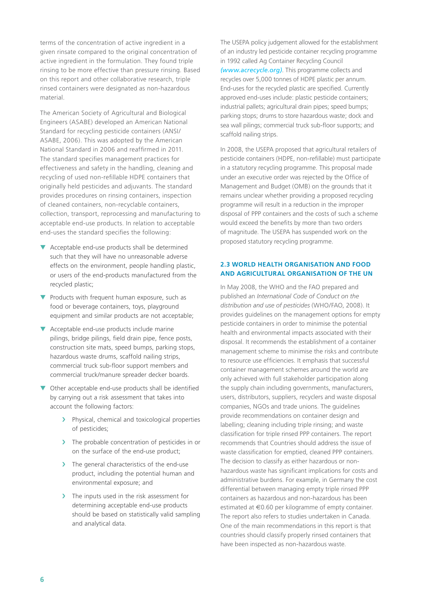terms of the concentration of active ingredient in a given rinsate compared to the original concentration of active ingredient in the formulation. They found triple rinsing to be more effective than pressure rinsing. Based on this report and other collaborative research, triple rinsed containers were designated as non-hazardous material.

The American Society of Agricultural and Biological Engineers (ASABE) developed an American National Standard for recycling pesticide containers (ANSI/ ASABE, 2006). This was adopted by the American National Standard in 2006 and reaffirmed in 2011. The standard specifies management practices for effectiveness and safety in the handling, cleaning and recycling of used non-refillable HDPE containers that originally held pesticides and adjuvants. The standard provides procedures on rinsing containers, inspection of cleaned containers, non-recyclable containers, collection, transport, reprocessing and manufacturing to acceptable end-use products. In relation to acceptable end-uses the standard specifies the following:

- ▼ Acceptable end-use products shall be determined such that they will have no unreasonable adverse effects on the environment, people handling plastic, or users of the end-products manufactured from the recycled plastic;
- ▼ Products with frequent human exposure, such as food or beverage containers, toys, playground equipment and similar products are not acceptable;
- ▼ Acceptable end-use products include marine pilings, bridge pilings, field drain pipe, fence posts, construction site mats, speed bumps, parking stops, hazardous waste drums, scaffold nailing strips, commercial truck sub-floor support members and commercial truck/manure spreader decker boards.
- ▼ Other acceptable end-use products shall be identified by carrying out a risk assessment that takes into account the following factors:
	- › Physical, chemical and toxicological properties of pesticides;
	- > The probable concentration of pesticides in or on the surface of the end-use product;
	- > The general characteristics of the end-use product, including the potential human and environmental exposure; and
	- > The inputs used in the risk assessment for determining acceptable end-use products should be based on statistically valid sampling and analytical data.

The USEPA policy judgement allowed for the establishment of an industry led pesticide container recycling programme in 1992 called Ag Container Recycling Council *(www.acrecycle.org)*. This programme collects and recycles over 5,000 tonnes of HDPE plastic per annum. End-uses for the recycled plastic are specified. Currently approved end-uses include: plastic pesticide containers; industrial pallets; agricultural drain pipes; speed bumps; parking stops; drums to store hazardous waste; dock and sea wall pilings; commercial truck sub-floor supports; and scaffold nailing strips.

In 2008, the USEPA proposed that agricultural retailers of pesticide containers (HDPE, non-refillable) must participate in a statutory recycling programme. This proposal made under an executive order was rejected by the Office of Management and Budget (OMB) on the grounds that it remains unclear whether providing a proposed recycling programme will result in a reduction in the improper disposal of PPP containers and the costs of such a scheme would exceed the benefits by more than two orders of magnitude. The USEPA has suspended work on the proposed statutory recycling programme.

#### **2.3 World Health Organisation and Food and Agricultural Organisation of the UN**

In May 2008, the WHO and the FAO prepared and published an *International Code of Conduct on the distribution and use of pesticides* (WHO/FAO, 2008). It provides guidelines on the management options for empty pesticide containers in order to minimise the potential health and environmental impacts associated with their disposal. It recommends the establishment of a container management scheme to minimise the risks and contribute to resource use efficiencies. It emphasis that successful container management schemes around the world are only achieved with full stakeholder participation along the supply chain including governments, manufacturers, users, distributors, suppliers, recyclers and waste disposal companies, NGOs and trade unions. The guidelines provide recommendations on container design and labelling; cleaning including triple rinsing; and waste classification for triple rinsed PPP containers. The report recommends that Countries should address the issue of waste classification for emptied, cleaned PPP containers. The decision to classify as either hazardous or nonhazardous waste has significant implications for costs and administrative burdens. For example, in Germany the cost differential between managing empty triple rinsed PPP containers as hazardous and non-hazardous has been estimated at €0.60 per kilogramme of empty container. The report also refers to studies undertaken in Canada. One of the main recommendations in this report is that countries should classify properly rinsed containers that have been inspected as non-hazardous waste.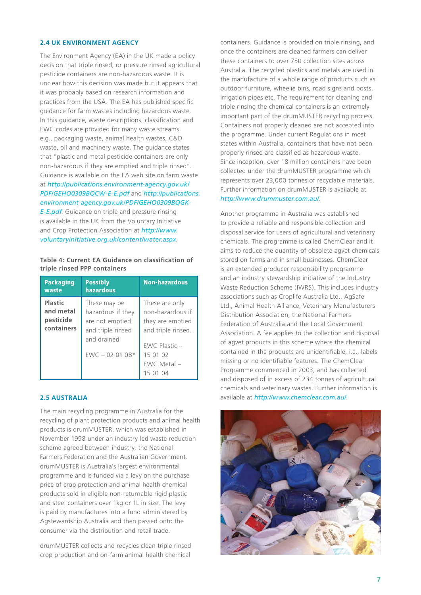#### **2.4 UK Environment Agency**

The Environment Agency (EA) in the UK made a policy decision that triple rinsed, or pressure rinsed agricultural pesticide containers are non-hazardous waste. It is unclear how this decision was made but it appears that it was probably based on research information and practices from the USA. The EA has published specific guidance for farm wastes including hazardous waste. In this guidance, waste descriptions, classification and EWC codes are provided for many waste streams, e.g., packaging waste, animal health wastes, C&D waste, oil and machinery waste. The guidance states that "plastic and metal pesticide containers are only non-hazardous if they are emptied and triple rinsed". Guidance is available on the EA web site on farm waste at *[http://publications.environment-agency.gov.uk/](http://publications.environment-agency.gov.uk/PDF/GEHO0309BQCW-E-E.pdf) PDF/GEHO0309BQCW-E-E.pdf* and *http://publications. [environment-agency.gov.uk/PDF/GEHO0309BQGK-](http://publications.environment-agency.gov.uk/PDF/GEHO0309BQGK-E-E.pdf)E-E.pdf*. Guidance on triple and pressure rinsing

is available in the UK from the Voluntary Initiative and Crop Protection Association at *http://www. [voluntaryinitiative.org.uk/content/water.aspx](http://www.voluntaryinitiative.org.uk/content/water.aspx)*.

#### **Table 4: Current EA Guidance on classification of triple rinsed PPP containers**

| <b>Packaging</b><br>waste                              | <b>Possibly</b><br>hazardous                                                                                | <b>Non-hazardous</b>                                                                                                                     |
|--------------------------------------------------------|-------------------------------------------------------------------------------------------------------------|------------------------------------------------------------------------------------------------------------------------------------------|
| <b>Plastic</b><br>and metal<br>pesticide<br>containers | These may be<br>hazardous if they<br>are not emptied<br>and triple rinsed<br>and drained<br>$EWC - 020108*$ | These are only<br>non-hazardous if<br>they are emptied<br>and triple rinsed.<br>$FWC$ Plastic $-$<br>15 01 02<br>EWC Metal -<br>15 01 04 |

#### **2.5 Australia**

The main recycling programme in Australia for the recycling of plant protection products and animal health products is drumMUSTER, which was established in November 1998 under an industry led waste reduction scheme agreed between industry, the National Farmers Federation and the Australian Government. drumMUSTER is Australia's largest environmental programme and is funded via a levy on the purchase price of crop protection and animal health chemical products sold in eligible non-returnable rigid plastic and steel containers over 1kg or 1L in size. The levy is paid by manufactures into a fund administered by Agstewardship Australia and then passed onto the consumer via the distribution and retail trade.

drumMUSTER collects and recycles clean triple rinsed crop production and on-farm animal health chemical

containers. Guidance is provided on triple rinsing, and once the containers are cleaned farmers can deliver these containers to over 750 collection sites across Australia. The recycled plastics and metals are used in the manufacture of a whole range of products such as outdoor furniture, wheelie bins, road signs and posts, irrigation pipes etc. The requirement for cleaning and triple rinsing the chemical containers is an extremely important part of the drumMUSTER recycling process. Containers not properly cleaned are not accepted into the programme. Under current Regulations in most states within Australia, containers that have not been properly rinsed are classified as hazardous waste. Since inception, over 18 million containers have been collected under the drumMUSTER programme which represents over 23,000 tonnes of recyclable materials. Further information on drumMUSTER is available at *http://www.drummuster.com.au/*.

Another programme in Australia was established to provide a reliable and responsible collection and disposal service for users of agricultural and veterinary chemicals. The programme is called ChemClear and it aims to reduce the quantity of obsolete agvet chemicals stored on farms and in small businesses. ChemClear is an extended producer responsibility programme and an industry stewardship initiative of the Industry Waste Reduction Scheme (IWRS). This includes industry associations such as Croplife Australia Ltd., AgSafe Ltd., Animal Health Alliance, Veterinary Manufacturers Distribution Association, the National Farmers Federation of Australia and the Local Government Association. A fee applies to the collection and disposal of agvet products in this scheme where the chemical contained in the products are unidentifiable, i.e., labels missing or no identifiable features. The ChemClear Programme commenced in 2003, and has collected and disposed of in excess of 234 tonnes of agricultural chemicals and veterinary wastes. Further information is available at *http://www.chemclear.com.au/*.

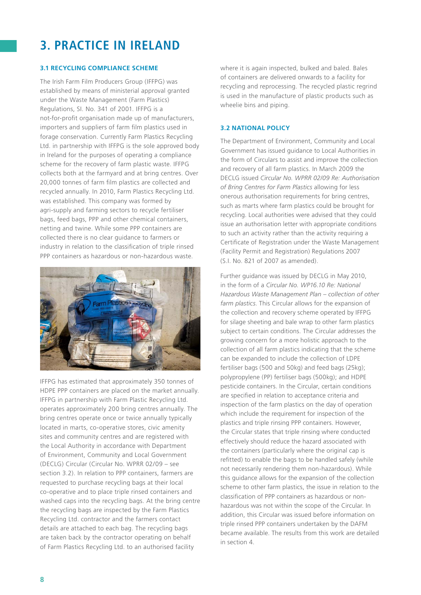# **3. Practice in Ireland**

#### **3.1 Recycling Compliance Scheme**

The Irish Farm Film Producers Group (IFFPG) was established by means of ministerial approval granted under the Waste Management (Farm Plastics) Regulations, SI. No. 341 of 2001. IFFPG is a not-for-profit organisation made up of manufacturers, importers and suppliers of farm film plastics used in forage conservation. Currently Farm Plastics Recycling Ltd. in partnership with IFFPG is the sole approved body in Ireland for the purposes of operating a compliance scheme for the recovery of farm plastic waste. IFFPG collects both at the farmyard and at bring centres. Over 20,000 tonnes of farm film plastics are collected and recycled annually. In 2010, Farm Plastics Recycling Ltd. was established. This company was formed by agri-supply and farming sectors to recycle fertiliser bags, feed bags, PPP and other chemical containers, netting and twine. While some PPP containers are collected there is no clear guidance to farmers or industry in relation to the classification of triple rinsed PPP containers as hazardous or non-hazardous waste.



IFFPG has estimated that approximately 350 tonnes of HDPE PPP containers are placed on the market annually. IFFPG in partnership with Farm Plastic Recycling Ltd. operates approximately 200 bring centres annually. The bring centres operate once or twice annually typically located in marts, co-operative stores, civic amenity sites and community centres and are registered with the Local Authority in accordance with Department of Environment, Community and Local Government (DECLG) Circular (Circular No. WPRR 02/09 – see section 3.2). In relation to PPP containers, farmers are requested to purchase recycling bags at their local co-operative and to place triple rinsed containers and washed caps into the recycling bags. At the bring centre the recycling bags are inspected by the Farm Plastics Recycling Ltd. contractor and the farmers contact details are attached to each bag. The recycling bags are taken back by the contractor operating on behalf of Farm Plastics Recycling Ltd. to an authorised facility

where it is again inspected, bulked and baled. Bales of containers are delivered onwards to a facility for recycling and reprocessing. The recycled plastic regrind is used in the manufacture of plastic products such as wheelie bins and piping.

#### **3.2 National Policy**

The Department of Environment, Community and Local Government has issued guidance to Local Authorities in the form of Circulars to assist and improve the collection and recovery of all farm plastics. In March 2009 the DECLG issued *Circular No. WPRR 02/09 Re: Authorisation of Bring Centres for Farm Plastics* allowing for less onerous authorisation requirements for bring centres, such as marts where farm plastics could be brought for recycling. Local authorities were advised that they could issue an authorisation letter with appropriate conditions to such an activity rather than the activity requiring a Certificate of Registration under the Waste Management (Facility Permit and Registration) Regulations 2007 (S.I. No. 821 of 2007 as amended).

Further guidance was issued by DECLG in May 2010, in the form of a *Circular No. WP16.10 Re: National Hazardous Waste Management Plan – collection of other farm plastics*. This Circular allows for the expansion of the collection and recovery scheme operated by IFFPG for silage sheeting and bale wrap to other farm plastics subject to certain conditions. The Circular addresses the growing concern for a more holistic approach to the collection of all farm plastics indicating that the scheme can be expanded to include the collection of LDPE fertiliser bags (500 and 50kg) and feed bags (25kg); polypropylene (PP) fertiliser bags (500kg); and HDPE pesticide containers. In the Circular, certain conditions are specified in relation to acceptance criteria and inspection of the farm plastics on the day of operation which include the requirement for inspection of the plastics and triple rinsing PPP containers. However, the Circular states that triple rinsing where conducted effectively should reduce the hazard associated with the containers (particularly where the original cap is refitted) to enable the bags to be handled safely (while not necessarily rendering them non-hazardous). While this guidance allows for the expansion of the collection scheme to other farm plastics, the issue in relation to the classification of PPP containers as hazardous or nonhazardous was not within the scope of the Circular. In addition, this Circular was issued before information on triple rinsed PPP containers undertaken by the DAFM became available. The results from this work are detailed in section 4.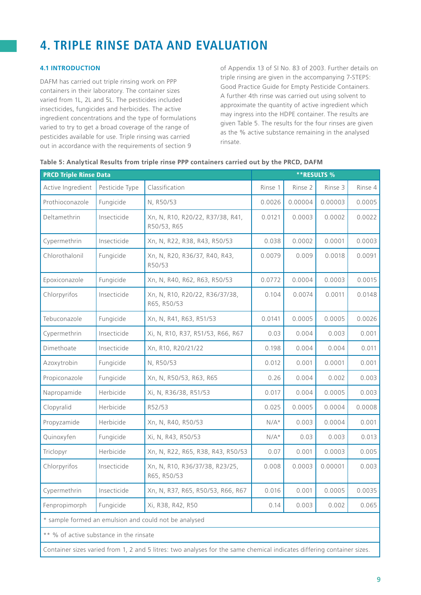# **4. Triple Rinse Data and Evaluation**

#### **4.1 Introduction**

DAFM has carried out triple rinsing work on PPP containers in their laboratory. The container sizes varied from 1L, 2L and 5L. The pesticides included insecticides, fungicides and herbicides. The active ingredient concentrations and the type of formulations varied to try to get a broad coverage of the range of pesticides available for use. Triple rinsing was carried out in accordance with the requirements of section 9

of Appendix 13 of SI No. 83 of 2003. Further details on triple rinsing are given in the accompanying 7-STEPS: Good Practice Guide for Empty Pesticide Containers. A further 4th rinse was carried out using solvent to approximate the quantity of active ingredient which may ingress into the HDPE container. The results are given Table 5. The results for the four rinses are given as the % active substance remaining in the analysed rinsate.

| <b>PRCD Triple Rinse Data</b>                                                                                          |                | <b>**RESULTS %</b>                              |         |         |         |         |
|------------------------------------------------------------------------------------------------------------------------|----------------|-------------------------------------------------|---------|---------|---------|---------|
| Active Ingredient                                                                                                      | Pesticide Type | Classification                                  | Rinse 1 | Rinse 2 | Rinse 3 | Rinse 4 |
| Prothioconazole                                                                                                        | Fungicide      | N, R50/53                                       | 0.0026  | 0.00004 | 0.00003 | 0.0005  |
| Deltamethrin                                                                                                           | Insecticide    | Xn, N, R10, R20/22, R37/38, R41,<br>R50/53, R65 | 0.0121  | 0.0003  | 0.0002  | 0.0022  |
| Cypermethrin                                                                                                           | Insecticide    | Xn, N, R22, R38, R43, R50/53                    | 0.038   | 0.0002  | 0.0001  | 0.0003  |
| Chlorothalonil                                                                                                         | Fungicide      | Xn, N, R20, R36/37, R40, R43,<br>R50/53         | 0.0079  | 0.009   | 0.0018  | 0.0091  |
| Epoxiconazole                                                                                                          | Fungicide      | Xn, N, R40, R62, R63, R50/53                    | 0.0772  | 0.0004  | 0.0003  | 0.0015  |
| Chlorpyrifos                                                                                                           | Insecticide    | Xn, N, R10, R20/22, R36/37/38,<br>R65, R50/53   | 0.104   | 0.0074  | 0.0011  | 0.0148  |
| Tebuconazole                                                                                                           | Fungicide      | Xn, N, R41, R63, R51/53                         | 0.0141  | 0.0005  | 0.0005  | 0.0026  |
| Cypermethrin                                                                                                           | Insecticide    | Xi, N, R10, R37, R51/53, R66, R67               | 0.03    | 0.004   | 0.003   | 0.001   |
| Dimethoate                                                                                                             | Insecticide    | Xn, R10, R20/21/22                              | 0.198   | 0.004   | 0.004   | 0.011   |
| Azoxytrobin                                                                                                            | Fungicide      | N, R50/53                                       | 0.012   | 0.001   | 0.0001  | 0.001   |
| Propiconazole                                                                                                          | Fungicide      | Xn, N, R50/53, R63, R65                         | 0.26    | 0.004   | 0.002   | 0.003   |
| Napropamide                                                                                                            | Herbicide      | Xi, N, R36/38, R51/53                           | 0.017   | 0.004   | 0.0005  | 0.003   |
| Clopyralid                                                                                                             | Herbicide      | R52/53                                          | 0.025   | 0.0005  | 0.0004  | 0.0008  |
| Propyzamide                                                                                                            | Herbicide      | Xn, N, R40, R50/53                              | $N/A^*$ | 0.003   | 0.0004  | 0.001   |
| Quinoxyfen                                                                                                             | Fungicide      | Xi, N, R43, R50/53                              | $N/A*$  | 0.03    | 0.003   | 0.013   |
| Triclopyr                                                                                                              | Herbicide      | Xn, N, R22, R65, R38, R43, R50/53               | 0.07    | 0.001   | 0.0003  | 0.005   |
| Chlorpyrifos                                                                                                           | Insecticide    | Xn, N, R10, R36/37/38, R23/25,<br>R65, R50/53   | 0.008   | 0.0003  | 0.00001 | 0.003   |
| Cypermethrin                                                                                                           | Insecticide    | Xn, N, R37, R65, R50/53, R66, R67               | 0.016   | 0.001   | 0.0005  | 0.0035  |
| Fenpropimorph                                                                                                          | Fungicide      | Xi, R38, R42, R50                               | 0.14    | 0.003   | 0.002   | 0.065   |
| * sample formed an emulsion and could not be analysed                                                                  |                |                                                 |         |         |         |         |
| ** % of active substance in the rinsate                                                                                |                |                                                 |         |         |         |         |
| Container sizes varied from 1, 2 and 5 litres: two analyses for the same chemical indicates differing container sizes. |                |                                                 |         |         |         |         |

#### **Table 5: Analytical Results from triple rinse PPP containers carried out by the PRCD, DAFM**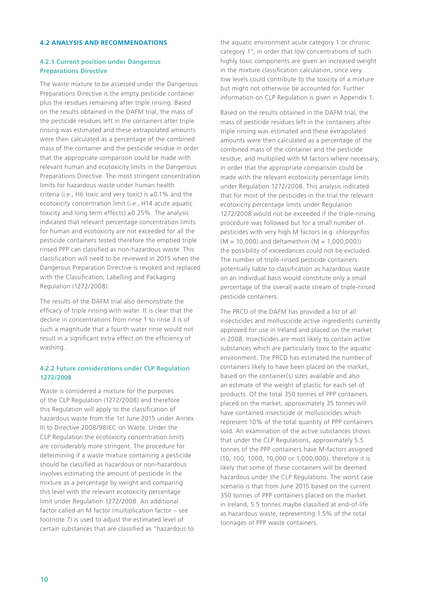#### **4.2 Analysis and Recommendations**

#### **4.2.1 Current position under Dangerous Preparations Directive**

The waste mixture to be assessed under the Dangerous Preparations Directive is the empty pesticide container plus the residues remaining after triple rinsing. Based on the results obtained in the DAFM trial, the mass of the pesticide residues left in the containers after triple rinsing was estimated and these extrapolated amounts were then calculated as a percentage of the combined mass of the container and the pesticide residue in order that the appropriate comparison could be made with relevant human and ecotoxicity limits in the Dangerous Preparations Directive. The most stringent concentration limits for hazardous waste under human health criteria (i.e., H6 toxic and very toxic) is ≥0.1% and the ecotoxicity concentration limit (i.e., H14 acute aquatic toxicity and long term effects) ≥0.25%. The analysis indicated that relevant percentage concentration limits for human and ecotoxicity are not exceeded for all the pesticide containers tested therefore the emptied triple rinsed PPP can classified as non-hazardous waste. This classification will need to be reviewed in 2015 when the Dangerous Preparation Directive is revoked and replaced with the Classification, Labelling and Packaging Regulation (1272/2008).

The results of the DAFM trial also demonstrate the efficacy of triple rinsing with water. It is clear that the decline in concentrations from rinse 1 to rinse 3 is of such a magnitude that a fourth water rinse would not result in a significant extra effect on the efficiency of washing.

#### **4.2.2 Future considerations under CLP Regulation 1272/2008**

Waste is considered a mixture for the purposes of the CLP Regulation (1272/2008) and therefore this Regulation will apply to the classification of hazardous waste from the 1st June 2015 under Annex III to Directive 2008/98/EC on Waste. Under the CLP Regulation the ecotoxicity concentration limits are considerably more stringent. The procedure for determining if a waste mixture containing a pesticide should be classified as hazardous or non-hazardous involves estimating the amount of pesticide in the mixture as a percentage by weight and comparing this level with the relevant ecotoxicity percentage limit under Regulation 1272/2008. An additional factor called an M factor (multiplication factor – see footnote 7) is used to adjust the estimated level of certain substances that are classified as "hazardous to the aquatic environment acute category 1 or chronic category 1", in order that low concentrations of such highly toxic components are given an increased weight in the mixture classification calculation, since very low levels could contribute to the toxicity of a mixture but might not otherwise be accounted for. Further information on CLP Regulation is given in Appendix 1.

Based on the results obtained in the DAFM trial, the mass of pesticide residues left in the containers after triple rinsing was estimated and these extrapolated amounts were then calculated as a percentage of the combined mass of the container and the pesticide residue, and multiplied with M factors where necessary, in order that the appropriate comparison could be made with the relevant ecotoxicity percentage limits under Regulation 1272/2008. This analysis indicated that for most of the pesticides in the trial the relevant ecotoxicity percentage limits under Regulation 1272/2008 would not be exceeded if the triple-rinsing procedure was followed but for a small number of pesticides with very high M factors (e.g. chlorpyrifos  $(M = 10,000)$  and deltamethrin  $(M = 1,000,000)$ the possibility of exceedances could not be excluded. The number of triple-rinsed pesticide containers potentially liable to classification as hazardous waste on an individual basis would constitute only a small percentage of the overall waste stream of triple-rinsed pesticide containers.

The PRCD of the DAFM has provided a list of all insecticides and molluscicide active ingredients currently approved for use in Ireland and placed on the market in 2008. Insecticides are most likely to contain active substances which are particularly toxic to the aquatic environment. The PRCD has estimated the number of containers likely to have been placed on the market, based on the container(s) sizes available and also an estimate of the weight of plastic for each set of products. Of the total 350 tonnes of PPP containers placed on the market, approximately 35 tonnes will have contained insecticide or molluscicides which represent 10% of the total quantity of PPP containers sold. An examination of the active substances shows that under the CLP Regulations, approximately 5.5 tonnes of the PPP containers have M-factors assigned (10, 100, 1000, 10,000 or 1,000,000), therefore it is likely that some of these containers will be deemed hazardous under the CLP Regulations. The worst case scenario is that from June 2015 based on the current 350 tonnes of PPP containers placed on the market in Ireland, 5.5 tonnes maybe classified at end-of-life as hazardous waste, representing 1.5% of the total tonnages of PPP waste containers.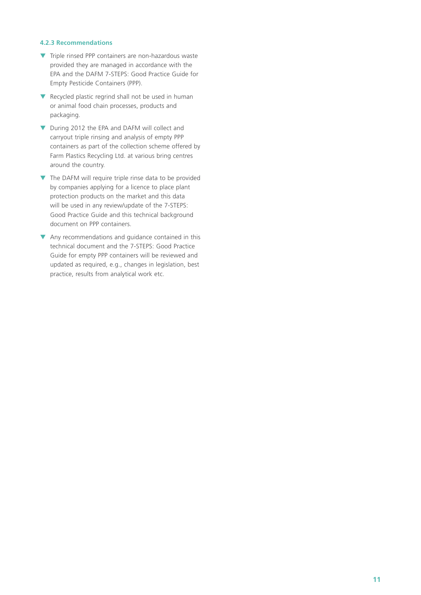#### **4.2.3 Recommendations**

- ▼ Triple rinsed PPP containers are non-hazardous waste provided they are managed in accordance with the EPA and the DAFM 7-STEPS: Good Practice Guide for Empty Pesticide Containers (PPP).
- ▼ Recycled plastic regrind shall not be used in human or animal food chain processes, products and packaging.
- ▼ During 2012 the EPA and DAFM will collect and carryout triple rinsing and analysis of empty PPP containers as part of the collection scheme offered by Farm Plastics Recycling Ltd. at various bring centres around the country.
- ▼ The DAFM will require triple rinse data to be provided by companies applying for a licence to place plant protection products on the market and this data will be used in any review/update of the 7-STEPS: Good Practice Guide and this technical background document on PPP containers.
- ▼ Any recommendations and guidance contained in this technical document and the 7-STEPS: Good Practice Guide for empty PPP containers will be reviewed and updated as required, e.g., changes in legislation, best practice, results from analytical work etc.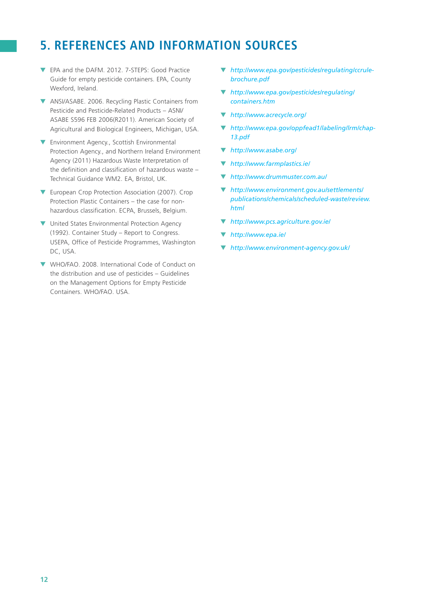# **5. References and information sources**

- ▼ EPA and the DAFM. 2012. 7-STEPS: Good Practice Guide for empty pesticide containers. EPA, County Wexford, Ireland.
- ▼ ANSI/ASABE. 2006. Recycling Plastic Containers from Pesticide and Pesticide-Related Products – ASNI/ ASABE S596 FEB 2006(R2011). American Society of Agricultural and Biological Engineers, Michigan, USA.
- ▼ Environment Agency., Scottish Environmental Protection Agency., and Northern Ireland Environment Agency (2011) Hazardous Waste Interpretation of the definition and classification of hazardous waste – Technical Guidance WM2. EA, Bristol, UK.
- ▼ European Crop Protection Association (2007). Crop Protection Plastic Containers – the case for nonhazardous classification. ECPA, Brussels, Belgium.
- ▼ United States Environmental Protection Agency (1992). Container Study – Report to Congress. USEPA, Office of Pesticide Programmes, Washington DC, USA.
- ▼ WHO/FAO. 2008. International Code of Conduct on the distribution and use of pesticides – Guidelines on the Management Options for Empty Pesticide Containers. WHO/FAO. USA.
- ▼ *http://www.epa.gov/pesticides/regulating/ccrulebrochure.pdf*
- ▼ *[http://www.epa.gov/pesticides/regulating/](http://www.epa.gov/pesticides/regulating/containers.htm) containers.htm*
- ▼ *http://www.acrecycle.org/*
- ▼ *http://www.epa.gov/oppfead1/labeling/lrm/chap-13.pdf*
- ▼ *http://www.asabe.org/*
- ▼ *http://www.farmplastics.ie/*
- ▼ *http://www.drummuster.com.au/*
- ▼ *http://www.environment.gov.au/settlements/ [publications/chemicals/scheduled-waste/review.](http://www.environment.gov.au/settlements/publications/chemicals/scheduled-waste/review.html) html*
- ▼ *http://www.pcs.agriculture.gov.ie/*
- ▼ *http://www.epa.ie/*
- ▼ *http://www.environment-agency.gov.uk/*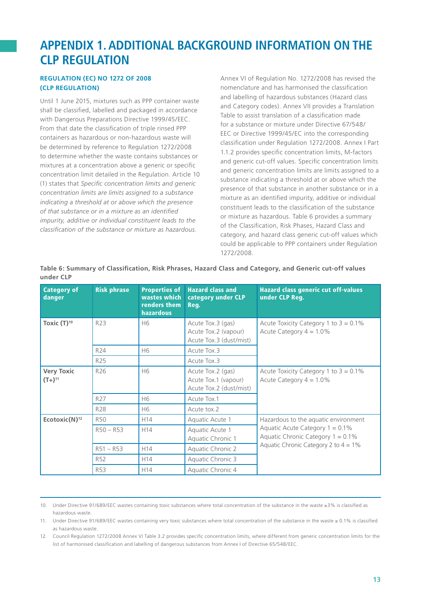### **Appendix 1. Additional background information on THE CLP Regulation**

#### **Regulation (EC) No 1272 of 2008 (CLP Regulation)**

Until 1 June 2015, mixtures such as PPP container waste shall be classified, labelled and packaged in accordance with Dangerous Preparations Directive 1999/45/EEC. From that date the classification of triple rinsed PPP containers as hazardous or non-hazardous waste will be determined by reference to Regulation 1272/2008 to determine whether the waste contains substances or mixtures at a concentration above a generic or specific concentration limit detailed in the Regulation. Article 10 (1) states that *Specific concentration limits and generic concentration limits are limits assigned to a substance indicating a threshold at or above which the presence of that substance or in a mixture as an identified impurity, additive or individual constituent leads to the classification of the substance or mixture as hazardous.*

Annex VI of Regulation No. 1272/2008 has revised the nomenclature and has harmonised the classification and labelling of hazardous substances (Hazard class and Category codes). Annex VII provides a Translation Table to assist translation of a classification made for a substance or mixture under Directive 67/548/ EEC or Directive 1999/45/EC into the corresponding classification under Regulation 1272/2008. Annex I Part 1.1.2 provides specific concentration limits, M-factors and generic cut-off values. Specific concentration limits and generic concentration limits are limits assigned to a substance indicating a threshold at or above which the presence of that substance in another substance or in a mixture as an identified impurity, additive or individual constituent leads to the classification of the substance or mixture as hazardous. Table 6 provides a summary of the Classification, Risk Phases, Hazard Class and category, and hazard class generic cut-off values which could be applicable to PPP containers under Regulation 1272/2008.

| <b>Category of</b><br>danger     | <b>Risk phrase</b> | <b>Properties of</b><br>wastes which<br>renders them<br><b>hazardous</b> | <b>Hazard class and</b><br>category under CLP<br>Reg.                | <b>Hazard class generic cut off-values</b><br>under CLP Reg.               |  |
|----------------------------------|--------------------|--------------------------------------------------------------------------|----------------------------------------------------------------------|----------------------------------------------------------------------------|--|
| Toxic $(T)^{10}$                 | R23                | H6                                                                       | Acute Tox.3 (gas)<br>Acute Tox.2 (vapour)<br>Acute Tox.3 (dust/mist) | Acute Toxicity Category 1 to $3 = 0.1\%$<br>Acute Category $4 = 1.0\%$     |  |
|                                  | R24                | H <sub>6</sub>                                                           | Acute Tox.3                                                          |                                                                            |  |
|                                  | R <sub>25</sub>    |                                                                          | Acute Tox.3                                                          |                                                                            |  |
| <b>Very Toxic</b><br>$(T+)^{11}$ | R <sub>26</sub>    | H <sub>6</sub>                                                           | Acute Tox.2 (gas)<br>Acute Tox.1 (vapour)<br>Acute Tox.2 (dust/mist) | Acute Toxicity Category 1 to $3 = 0.1\%$<br>Acute Category $4 = 1.0\%$     |  |
|                                  | R <sub>27</sub>    | H6                                                                       | Acute Tox.1                                                          |                                                                            |  |
|                                  | R28                | H6                                                                       | Acute tox.2                                                          |                                                                            |  |
| Ecotoxic( $N$ ) <sup>12</sup>    | <b>R50</b>         | H <sub>14</sub>                                                          | Aquatic Acute 1                                                      | Hazardous to the aquatic environment                                       |  |
|                                  | $R50 - R53$        | H <sub>14</sub>                                                          | Aquatic Acute 1<br>Aquatic Chronic 1                                 | Aquatic Acute Category $1 = 0.1\%$<br>Aquatic Chronic Category $1 = 0.1\%$ |  |
|                                  | $R51 - R53$        | H <sub>14</sub>                                                          | Aquatic Chronic 2                                                    | Aquatic Chronic Category 2 to $4 = 1\%$                                    |  |
|                                  | R <sub>52</sub>    | H <sub>14</sub>                                                          | Aquatic Chronic 3                                                    |                                                                            |  |
|                                  | <b>R53</b>         | H <sub>14</sub>                                                          | Aquatic Chronic 4                                                    |                                                                            |  |

**Table 6: Summary of Classification, Risk Phrases, Hazard Class and Category, and Generic cut-off values under CLP** 

10. Under Directive 91/689/EEC wastes containing toxic substances where total concentration of the substance in the waste ≥3% is classified as hazardous waste.

11. Under Directive 91/689/EEC wastes containing very toxic substances where total concentration of the substance in the waste ≥ 0.1% is classified as hazardous waste.

12. Council Regulation 1272/2008 Annex VI Table 3.2 provides specific concentration limits, where different from generic concentration limits for the list of harmonised classification and labelling of dangerous substances from Annex I of Directive 65/548/EEC.